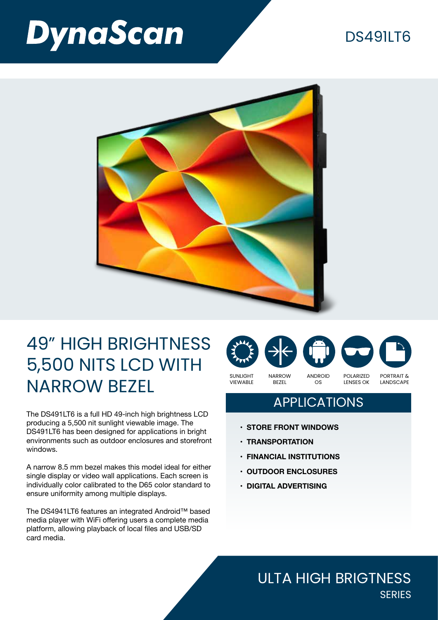# **DynaScan**

### **DS4911T6**



## 49" HIGH BRIGHTNESS 5,500 NITS LCD WITH NARROW BEZEL

The DS491LT6 is a full HD 49-inch high brightness LCD producing a 5,500 nit sunlight viewable image. The DS491LT6 has been designed for applications in bright environments such as outdoor enclosures and storefront windows.

A narrow 8.5 mm bezel makes this model ideal for either single display or video wall applications. Each screen is individually color calibrated to the D65 color standard to ensure uniformity among multiple displays.

The DS4941LT6 features an integrated Android™ based media player with WiFi offering users a complete media platform, allowing playback of local files and USB/SD card media.



#### APPLICATIONS

- **• STORE FRONT WINDOWS**
- **• TRANSPORTATION**
- **• FINANCIAL INSTITUTIONS**
- **• OUTDOOR ENCLOSURES**
- **• DIGITAL ADVERTISING**

#### ULTA HIGH BRIGTNESS **SERIES**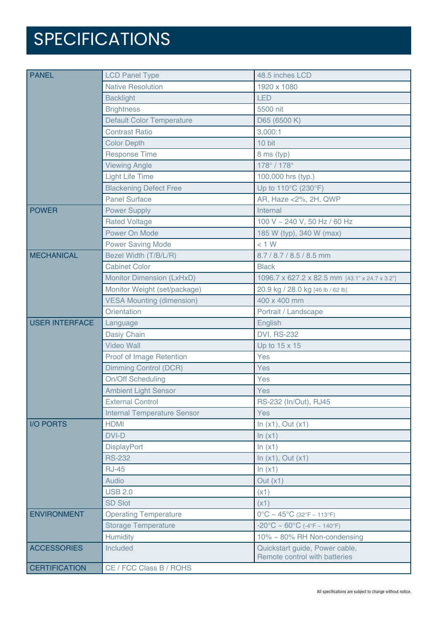# SPECIFICATIONS

| <b>PANEL</b>          | <b>LCD Panel Type</b>              | 48.5 inches LCD                                                 |
|-----------------------|------------------------------------|-----------------------------------------------------------------|
|                       | <b>Native Resolution</b>           | 1920 x 1080                                                     |
|                       | <b>Backlight</b>                   | <b>LED</b>                                                      |
|                       | <b>Brightness</b>                  | 5500 nit                                                        |
|                       | <b>Default Color Temperature</b>   | D65 (6500 K)                                                    |
|                       | <b>Contrast Ratio</b>              | 3,000:1                                                         |
|                       | <b>Color Depth</b>                 | 10 bit                                                          |
|                       | <b>Response Time</b>               | 8 ms (typ)                                                      |
|                       | <b>Viewing Angle</b>               | 178°/178°                                                       |
|                       | <b>Light Life Time</b>             | 100,000 hrs (typ.)                                              |
|                       | <b>Blackening Defect Free</b>      | Up to 110°C (230°F)                                             |
|                       | <b>Panel Surface</b>               | AR, Haze < 2%, 2H, QWP                                          |
| <b>POWER</b>          | <b>Power Supply</b>                | Internal                                                        |
|                       | <b>Rated Voltage</b>               | 100 V ~ 240 V, 50 Hz / 60 Hz                                    |
|                       | Power On Mode                      | 185 W (typ), 340 W (max)                                        |
|                       | <b>Power Saving Mode</b>           | < 1 W                                                           |
| <b>MECHANICAL</b>     | Bezel Width (T/B/L/R)              | 8.7 / 8.7 / 8.5 / 8.5 mm                                        |
|                       | <b>Cabinet Color</b>               | <b>Black</b>                                                    |
|                       | <b>Monitor Dimension (LxHxD)</b>   | 1096.7 x 627.2 x 82.5 mm [43.1" x 24.7 x 3.2"]                  |
|                       | Monitor Weight (set/package)       | 20.9 kg / 28.0 kg [46 lb / 62 lb]                               |
|                       | <b>VESA Mounting (dimension)</b>   | 400 x 400 mm                                                    |
|                       | <b>Orientation</b>                 | Portrait / Landscape                                            |
| <b>USER INTERFACE</b> | Language                           | English                                                         |
|                       | Dasiy Chain                        | <b>DVI, RS-232</b>                                              |
|                       | <b>Video Wall</b>                  | Up to 15 x 15                                                   |
|                       | Proof of Image Retention           | Yes                                                             |
|                       | Dimming Control (DCR)              | Yes                                                             |
|                       | <b>On/Off Scheduling</b>           | Yes                                                             |
|                       | <b>Ambient Light Sensor</b>        | Yes                                                             |
|                       | <b>External Control</b>            | RS-232 (In/Out), RJ45                                           |
|                       | <b>Internal Temperature Sensor</b> | Yes                                                             |
| <b>I/O PORTS</b>      | <b>HDMI</b>                        | In $(x1)$ , Out $(x1)$                                          |
|                       | <b>DVI-D</b>                       | ln(x1)                                                          |
|                       | <b>DisplayPort</b>                 | ln(x1)                                                          |
|                       | <b>RS-232</b>                      | In $(x1)$ , Out $(x1)$                                          |
|                       | <b>RJ-45</b>                       | ln(x1)                                                          |
|                       | Audio                              | Out $(x1)$                                                      |
|                       | <b>USB 2.0</b>                     | (x1)                                                            |
|                       | <b>SD Slot</b>                     | (x1)                                                            |
| <b>ENVIRONMENT</b>    | <b>Operating Temperature</b>       | $0^{\circ}$ C ~ 45°C (32°F ~ 113°F)                             |
|                       | <b>Storage Temperature</b>         | $-20^{\circ}$ C ~ 60°C (-4°F ~ 140°F)                           |
|                       | Humidity                           | 10% ~ 80% RH Non-condensing                                     |
| <b>ACCESSORIES</b>    | Included                           | Quickstart guide, Power cable,<br>Remote control with batteries |
| <b>CERTIFICATION</b>  | CE / FCC Class B / ROHS            |                                                                 |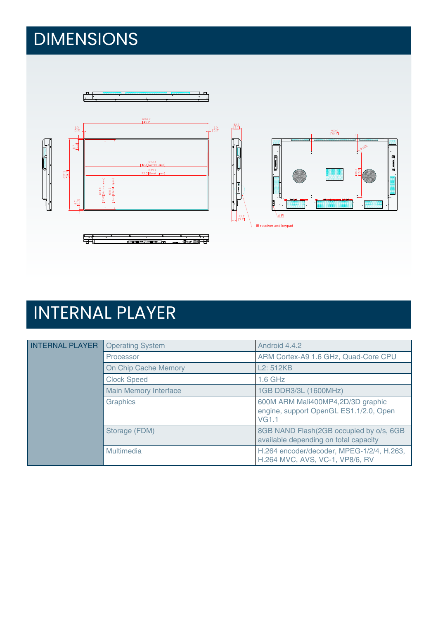# DIMENSIONS



# INTERNAL PLAYER

| <b>INTERNAL PLAYER</b> | <b>Operating System</b>      | Android 4.4.2                                                                               |
|------------------------|------------------------------|---------------------------------------------------------------------------------------------|
|                        | Processor                    | ARM Cortex-A9 1.6 GHz, Quad-Core CPU                                                        |
|                        | On Chip Cache Memory         | L <sub>2</sub> : 512KB                                                                      |
|                        | <b>Clock Speed</b>           | $1.6$ GHz                                                                                   |
|                        | <b>Main Memory Interface</b> | 1GB DDR3/3L (1600MHz)                                                                       |
|                        | <b>Graphics</b>              | 600M ARM Mali400MP4,2D/3D graphic<br>engine, support OpenGL ES1.1/2.0, Open<br><b>VG1.1</b> |
|                        | Storage (FDM)                | 8GB NAND Flash(2GB occupied by o/s, 6GB<br>available depending on total capacity            |
|                        | Multimedia                   | H.264 encoder/decoder, MPEG-1/2/4, H.263,<br>H.264 MVC, AVS, VC-1, VP8/6, RV                |